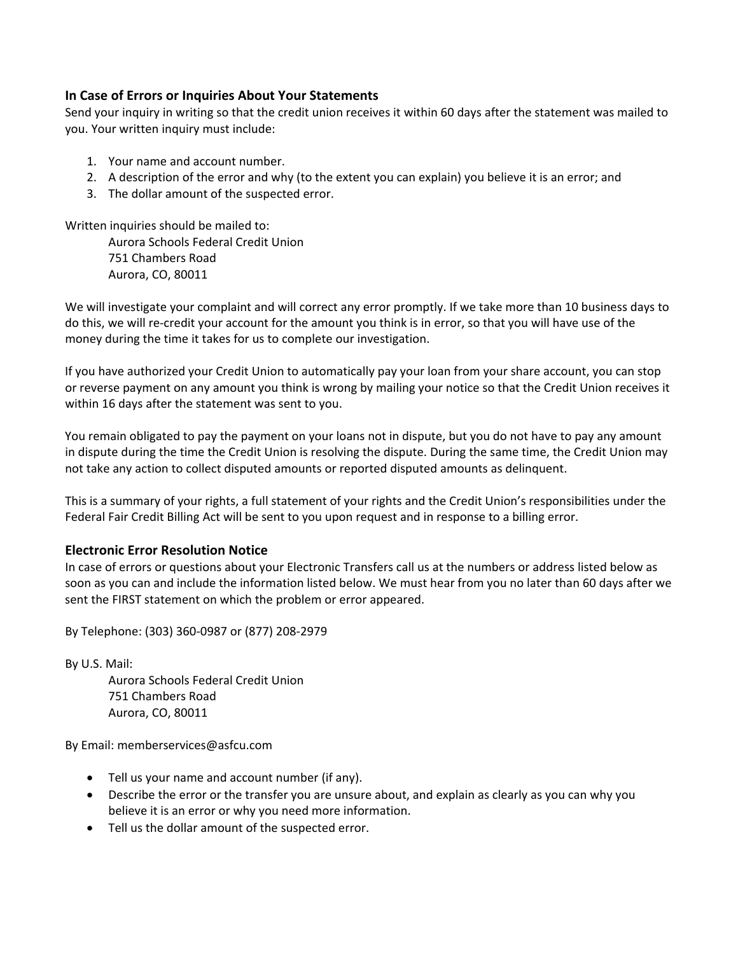## **In Case of Errors or Inquiries About Your Statements**

Send your inquiry in writing so that the credit union receives it within 60 days after the statement was mailed to you. Your written inquiry must include:

- 1. Your name and account number.
- 2. A description of the error and why (to the extent you can explain) you believe it is an error; and
- 3. The dollar amount of the suspected error.

Written inquiries should be mailed to:

Aurora Schools Federal Credit Union 751 Chambers Road Aurora, CO, 80011

We will investigate your complaint and will correct any error promptly. If we take more than 10 business days to do this, we will re‐credit your account for the amount you think is in error, so that you will have use of the money during the time it takes for us to complete our investigation.

If you have authorized your Credit Union to automatically pay your loan from your share account, you can stop or reverse payment on any amount you think is wrong by mailing your notice so that the Credit Union receives it within 16 days after the statement was sent to you.

You remain obligated to pay the payment on your loans not in dispute, but you do not have to pay any amount in dispute during the time the Credit Union is resolving the dispute. During the same time, the Credit Union may not take any action to collect disputed amounts or reported disputed amounts as delinquent.

This is a summary of your rights, a full statement of your rights and the Credit Union's responsibilities under the Federal Fair Credit Billing Act will be sent to you upon request and in response to a billing error.

## **Electronic Error Resolution Notice**

In case of errors or questions about your Electronic Transfers call us at the numbers or address listed below as soon as you can and include the information listed below. We must hear from you no later than 60 days after we sent the FIRST statement on which the problem or error appeared.

By Telephone: (303) 360‐0987 or (877) 208‐2979

By U.S. Mail:

Aurora Schools Federal Credit Union 751 Chambers Road Aurora, CO, 80011

By Email: memberservices@asfcu.com

- Tell us your name and account number (if any).
- Describe the error or the transfer you are unsure about, and explain as clearly as you can why you believe it is an error or why you need more information.
- Tell us the dollar amount of the suspected error.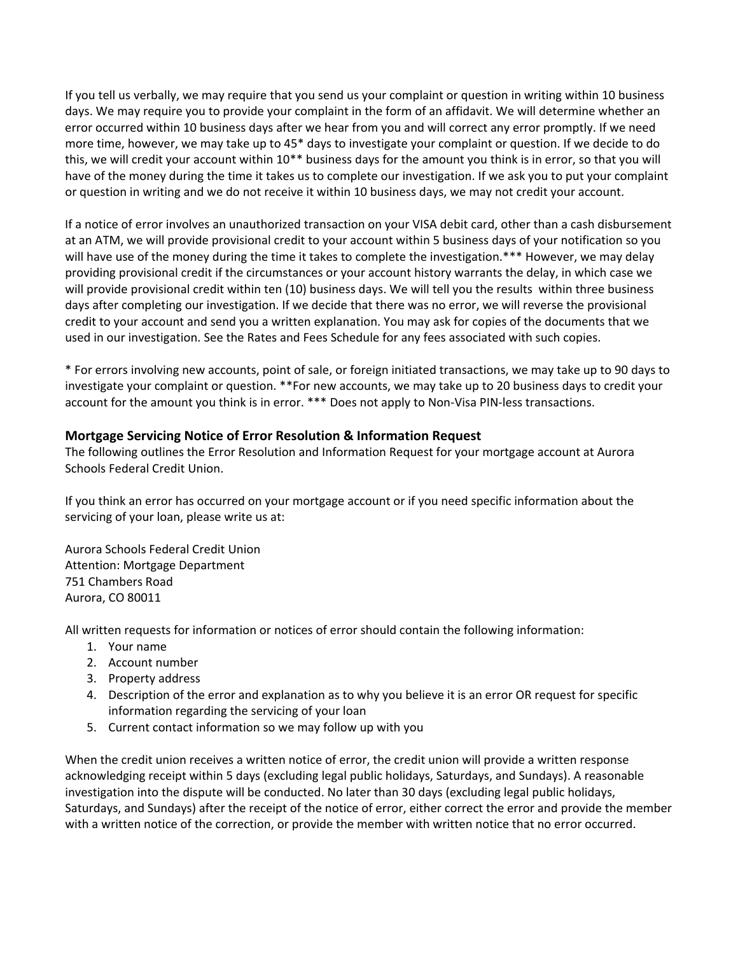If you tell us verbally, we may require that you send us your complaint or question in writing within 10 business days. We may require you to provide your complaint in the form of an affidavit. We will determine whether an error occurred within 10 business days after we hear from you and will correct any error promptly. If we need more time, however, we may take up to 45\* days to investigate your complaint or question. If we decide to do this, we will credit your account within 10<sup>\*\*</sup> business days for the amount you think is in error, so that you will have of the money during the time it takes us to complete our investigation. If we ask you to put your complaint or question in writing and we do not receive it within 10 business days, we may not credit your account.

If a notice of error involves an unauthorized transaction on your VISA debit card, other than a cash disbursement at an ATM, we will provide provisional credit to your account within 5 business days of your notification so you will have use of the money during the time it takes to complete the investigation.\*\*\* However, we may delay providing provisional credit if the circumstances or your account history warrants the delay, in which case we will provide provisional credit within ten (10) business days. We will tell you the results within three business days after completing our investigation. If we decide that there was no error, we will reverse the provisional credit to your account and send you a written explanation. You may ask for copies of the documents that we used in our investigation. See the Rates and Fees Schedule for any fees associated with such copies.

\* For errors involving new accounts, point of sale, or foreign initiated transactions, we may take up to 90 days to investigate your complaint or question. \*\*For new accounts, we may take up to 20 business days to credit your account for the amount you think is in error. \*\*\* Does not apply to Non-Visa PIN-less transactions.

## **Mortgage Servicing Notice of Error Resolution & Information Request**

The following outlines the Error Resolution and Information Request for your mortgage account at Aurora Schools Federal Credit Union.

If you think an error has occurred on your mortgage account or if you need specific information about the servicing of your loan, please write us at:

Aurora Schools Federal Credit Union Attention: Mortgage Department 751 Chambers Road Aurora, CO 80011

All written requests for information or notices of error should contain the following information:

- 1. Your name
- 2. Account number
- 3. Property address
- 4. Description of the error and explanation as to why you believe it is an error OR request for specific information regarding the servicing of your loan
- 5. Current contact information so we may follow up with you

When the credit union receives a written notice of error, the credit union will provide a written response acknowledging receipt within 5 days (excluding legal public holidays, Saturdays, and Sundays). A reasonable investigation into the dispute will be conducted. No later than 30 days (excluding legal public holidays, Saturdays, and Sundays) after the receipt of the notice of error, either correct the error and provide the member with a written notice of the correction, or provide the member with written notice that no error occurred.